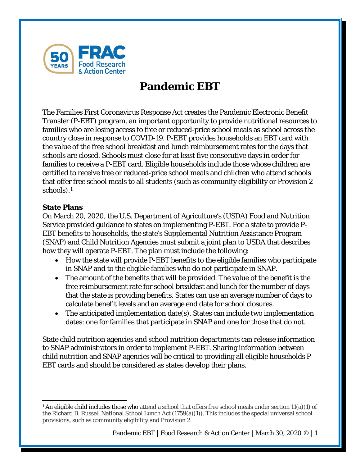

# **Pandemic EBT**

The Families First Coronavirus Response Act creates the Pandemic Electronic Benefit Transfer (P-EBT) program, an important opportunity to provide nutritional resources to families who are losing access to free or reduced-price school meals as school across the country close in response to COVID-19. P-EBT provides households an EBT card with the value of the free school breakfast and lunch reimbursement rates for the days that schools are closed. Schools must close for at least five consecutive days in order for families to receive a P-EBT card. Eligible households include those whose children are certified to receive free or reduced-price school meals and children who attend schools that offer free school meals to all students (such as community eligibility or Provision 2 schools).[1](#page-0-0)

### **State Plans**

On March 20, 2020, the U.S. Department of Agriculture's (USDA) Food and Nutrition Service provided guidance to states on implementing P-EBT. For a state to provide P-EBT benefits to households, the state's Supplemental Nutrition Assistance Program (SNAP) and Child Nutrition Agencies must submit a joint plan to USDA that describes how they will operate P-EBT. The plan must include the following:

- How the state will provide P-EBT benefits to the eligible families who participate in SNAP and to the eligible families who do not participate in SNAP.
- The amount of the benefits that will be provided. The value of the benefit is the free reimbursement rate for school breakfast and lunch for the number of days that the state is providing benefits. States can use an average number of days to calculate benefit levels and an average end date for school closures.
- The anticipated implementation date(s). States can include two implementation dates: one for families that participate in SNAP and one for those that do not.

State child nutrition agencies and school nutrition departments can release information to SNAP administrators in order to implement P-EBT. Sharing information between child nutrition and SNAP agencies will be critical to providing all eligible households P-EBT cards and should be considered as states develop their plans.

<span id="page-0-0"></span><sup>&</sup>lt;sup>1</sup> An eligible child includes those who attend a school that offers free school meals under section 11(a)(1) of the Richard B. Russell National School Lunch Act (1759(a)(1)). This includes the special universal school provisions, such as community eligibility and Provision 2.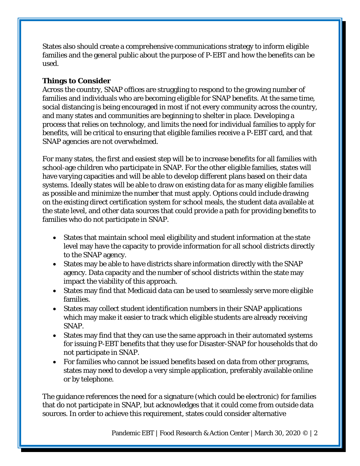States also should create a comprehensive communications strategy to inform eligible families and the general public about the purpose of P-EBT and how the benefits can be used.

### **Things to Consider**

Across the country, SNAP offices are struggling to respond to the growing number of families and individuals who are becoming eligible for SNAP benefits. At the same time, social distancing is being encouraged in most if not every community across the country, and many states and communities are beginning to shelter in place. Developing a process that relies on technology, and limits the need for individual families to apply for benefits, will be critical to ensuring that eligible families receive a P-EBT card, and that SNAP agencies are not overwhelmed.

For many states, the first and easiest step will be to increase benefits for all families with school-age children who participate in SNAP. For the other eligible families, states will have varying capacities and will be able to develop different plans based on their data systems. Ideally states will be able to draw on existing data for as many eligible families as possible and minimize the number that must apply. Options could include drawing on the existing direct certification system for school meals, the student data available at the state level, and other data sources that could provide a path for providing benefits to families who do not participate in SNAP.

- States that maintain school meal eligibility and student information at the state level may have the capacity to provide information for all school districts directly to the SNAP agency.
- States may be able to have districts share information directly with the SNAP agency. Data capacity and the number of school districts within the state may impact the viability of this approach.
- States may find that Medicaid data can be used to seamlessly serve more eligible families.
- States may collect student identification numbers in their SNAP applications which may make it easier to track which eligible students are already receiving SNAP.
- States may find that they can use the same approach in their automated systems for issuing P-EBT benefits that they use for Disaster-SNAP for households that do not participate in SNAP.
- For families who cannot be issued benefits based on data from other programs, states may need to develop a very simple application, preferably available online or by telephone.

The guidance references the need for a signature (which could be electronic) for families that do not participate in SNAP, but acknowledges that it could come from outside data sources. In order to achieve this requirement, states could consider alternative